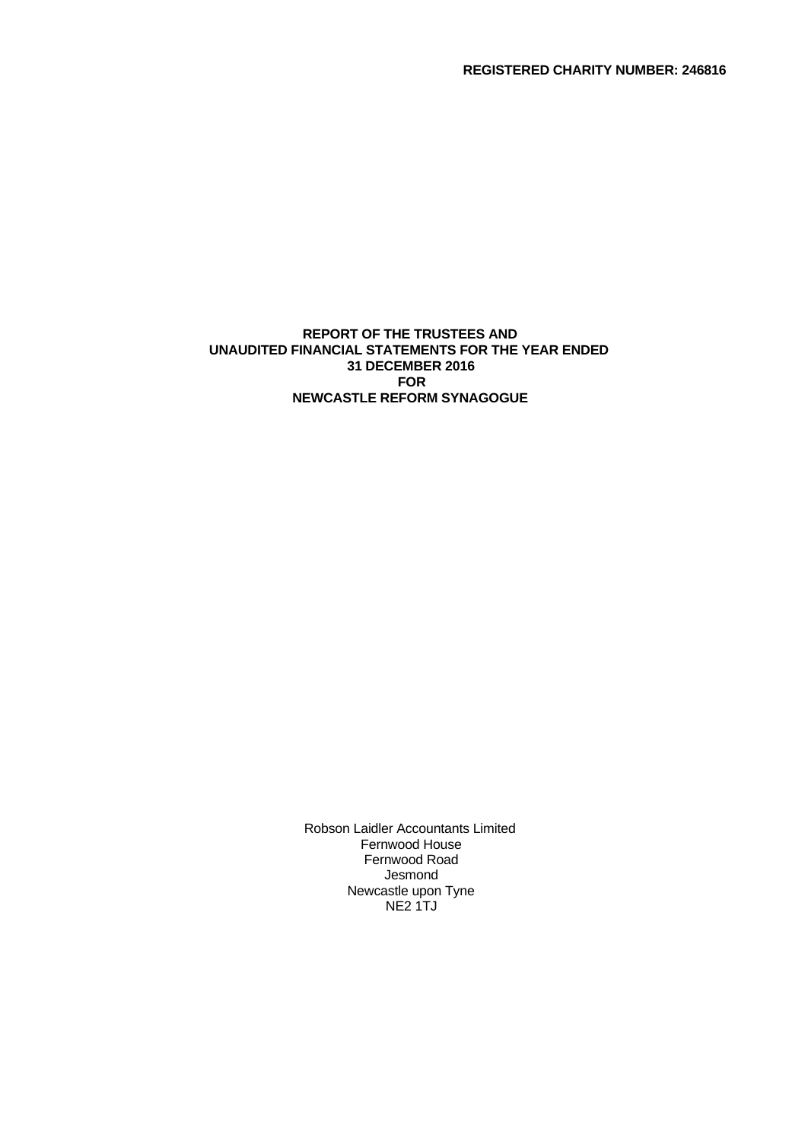**REGISTERED CHARITY NUMBER: 246816**

## **REPORT OF THE TRUSTEES AND UNAUDITED FINANCIAL STATEMENTS FOR THE YEAR ENDED 31 DECEMBER 2016 FOR NEWCASTLE REFORM SYNAGOGUE**

Robson Laidler Accountants Limited Fernwood House Fernwood Road Jesmond Newcastle upon Tyne NE2 1TJ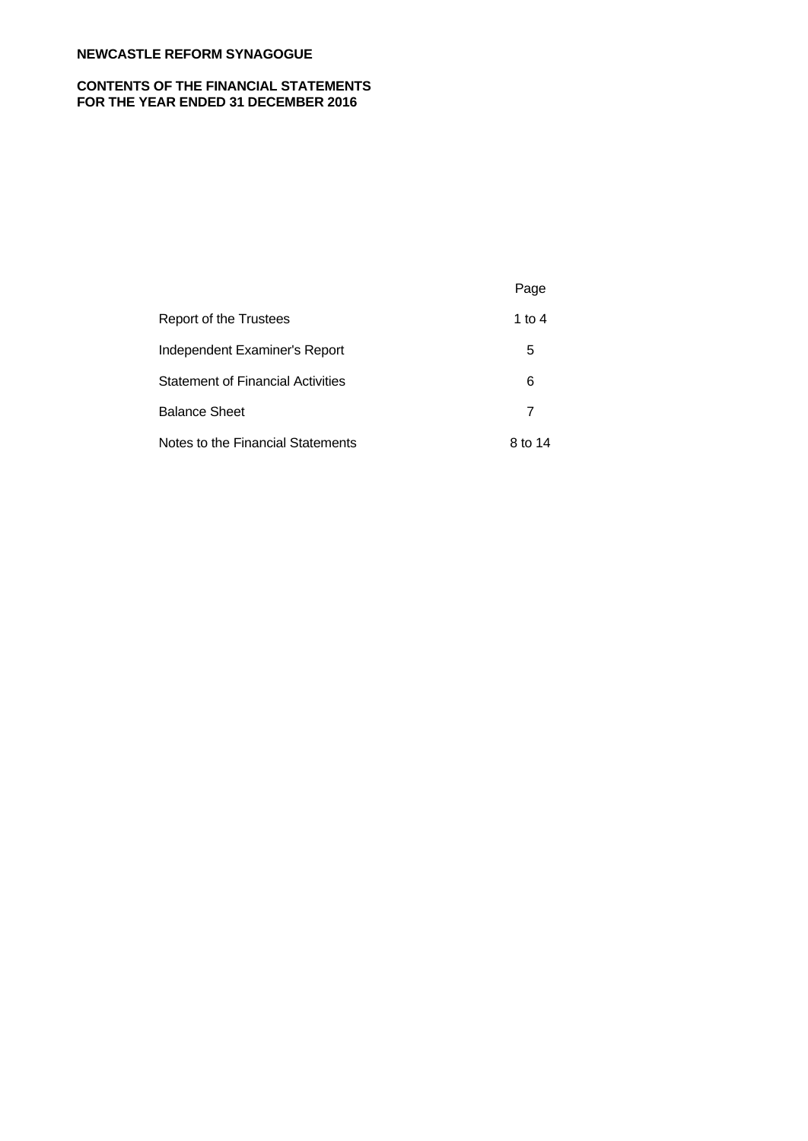# **CONTENTS OF THE FINANCIAL STATEMENTS FOR THE YEAR ENDED 31 DECEMBER 2016**

|                                          | Page    |  |
|------------------------------------------|---------|--|
| Report of the Trustees                   | 1 to 4  |  |
| Independent Examiner's Report            | 5       |  |
| <b>Statement of Financial Activities</b> | 6       |  |
| <b>Balance Sheet</b>                     | 7       |  |
| Notes to the Financial Statements        | 8 to 14 |  |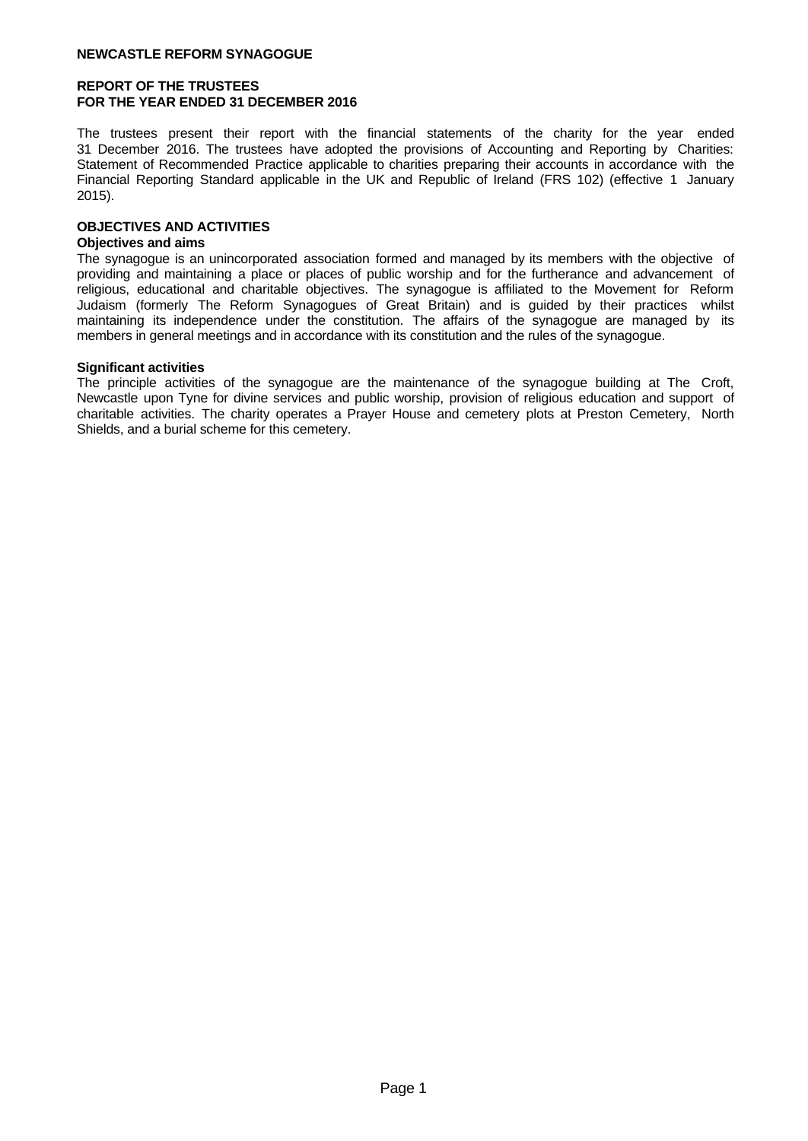## **REPORT OF THE TRUSTEES FOR THE YEAR ENDED 31 DECEMBER 2016**

The trustees present their report with the financial statements of the charity for the year ended 31 December 2016. The trustees have adopted the provisions of Accounting and Reporting by Charities: Statement of Recommended Practice applicable to charities preparing their accounts in accordance with the Financial Reporting Standard applicable in the UK and Republic of Ireland (FRS 102) (effective 1 January 2015).

# **OBJECTIVES AND ACTIVITIES**

## **Objectives and aims**

The synagogue is an unincorporated association formed and managed by its members with the objective of providing and maintaining a place or places of public worship and for the furtherance and advancement of religious, educational and charitable objectives. The synagogue is affiliated to the Movement for Reform Judaism (formerly The Reform Synagogues of Great Britain) and is guided by their practices whilst maintaining its independence under the constitution. The affairs of the synagogue are managed by its members in general meetings and in accordance with its constitution and the rules of the synagogue.

### **Significant activities**

The principle activities of the synagogue are the maintenance of the synagogue building at The Croft, Newcastle upon Tyne for divine services and public worship, provision of religious education and support of charitable activities. The charity operates a Prayer House and cemetery plots at Preston Cemetery, North Shields, and a burial scheme for this cemetery.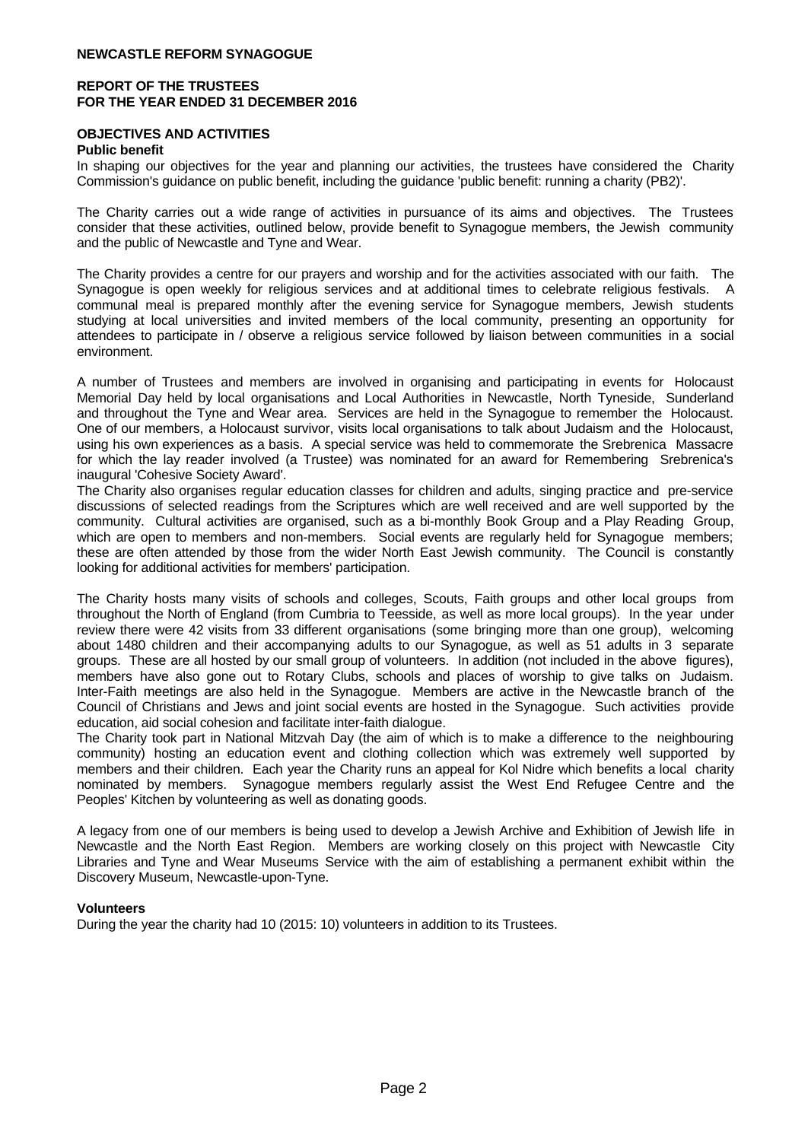## **REPORT OF THE TRUSTEES FOR THE YEAR ENDED 31 DECEMBER 2016**

# **OBJECTIVES AND ACTIVITIES**

#### **Public benefit**

In shaping our objectives for the year and planning our activities, the trustees have considered the Charity Commission's guidance on public benefit, including the guidance 'public benefit: running a charity (PB2)'.

The Charity carries out a wide range of activities in pursuance of its aims and objectives. The Trustees consider that these activities, outlined below, provide benefit to Synagogue members, the Jewish community and the public of Newcastle and Tyne and Wear.

The Charity provides a centre for our prayers and worship and for the activities associated with our faith. The Synagogue is open weekly for religious services and at additional times to celebrate religious festivals. A communal meal is prepared monthly after the evening service for Synagogue members, Jewish students studying at local universities and invited members of the local community, presenting an opportunity for attendees to participate in / observe a religious service followed by liaison between communities in a social environment.

A number of Trustees and members are involved in organising and participating in events for Holocaust Memorial Day held by local organisations and Local Authorities in Newcastle, North Tyneside, Sunderland and throughout the Tyne and Wear area. Services are held in the Synagogue to remember the Holocaust. One of our members, a Holocaust survivor, visits local organisations to talk about Judaism and the Holocaust, using his own experiences as a basis. A special service was held to commemorate the Srebrenica Massacre for which the lay reader involved (a Trustee) was nominated for an award for Remembering Srebrenica's inaugural 'Cohesive Society Award'.

The Charity also organises regular education classes for children and adults, singing practice and pre-service discussions of selected readings from the Scriptures which are well received and are well supported by the community. Cultural activities are organised, such as a bi-monthly Book Group and a Play Reading Group, which are open to members and non-members. Social events are regularly held for Synagogue members; these are often attended by those from the wider North East Jewish community. The Council is constantly looking for additional activities for members' participation.

The Charity hosts many visits of schools and colleges, Scouts, Faith groups and other local groups from throughout the North of England (from Cumbria to Teesside, as well as more local groups). In the year under review there were 42 visits from 33 different organisations (some bringing more than one group), welcoming about 1480 children and their accompanying adults to our Synagogue, as well as 51 adults in 3 separate groups. These are all hosted by our small group of volunteers. In addition (not included in the above figures), members have also gone out to Rotary Clubs, schools and places of worship to give talks on Judaism. Inter-Faith meetings are also held in the Synagogue. Members are active in the Newcastle branch of the Council of Christians and Jews and joint social events are hosted in the Synagogue. Such activities provide education, aid social cohesion and facilitate inter-faith dialogue.

The Charity took part in National Mitzvah Day (the aim of which is to make a difference to the neighbouring community) hosting an education event and clothing collection which was extremely well supported by members and their children. Each year the Charity runs an appeal for Kol Nidre which benefits a local charity nominated by members. Synagogue members regularly assist the West End Refugee Centre and the Peoples' Kitchen by volunteering as well as donating goods.

A legacy from one of our members is being used to develop a Jewish Archive and Exhibition of Jewish life in Newcastle and the North East Region. Members are working closely on this project with Newcastle City Libraries and Tyne and Wear Museums Service with the aim of establishing a permanent exhibit within the Discovery Museum, Newcastle-upon-Tyne.

#### **Volunteers**

During the year the charity had 10 (2015: 10) volunteers in addition to its Trustees.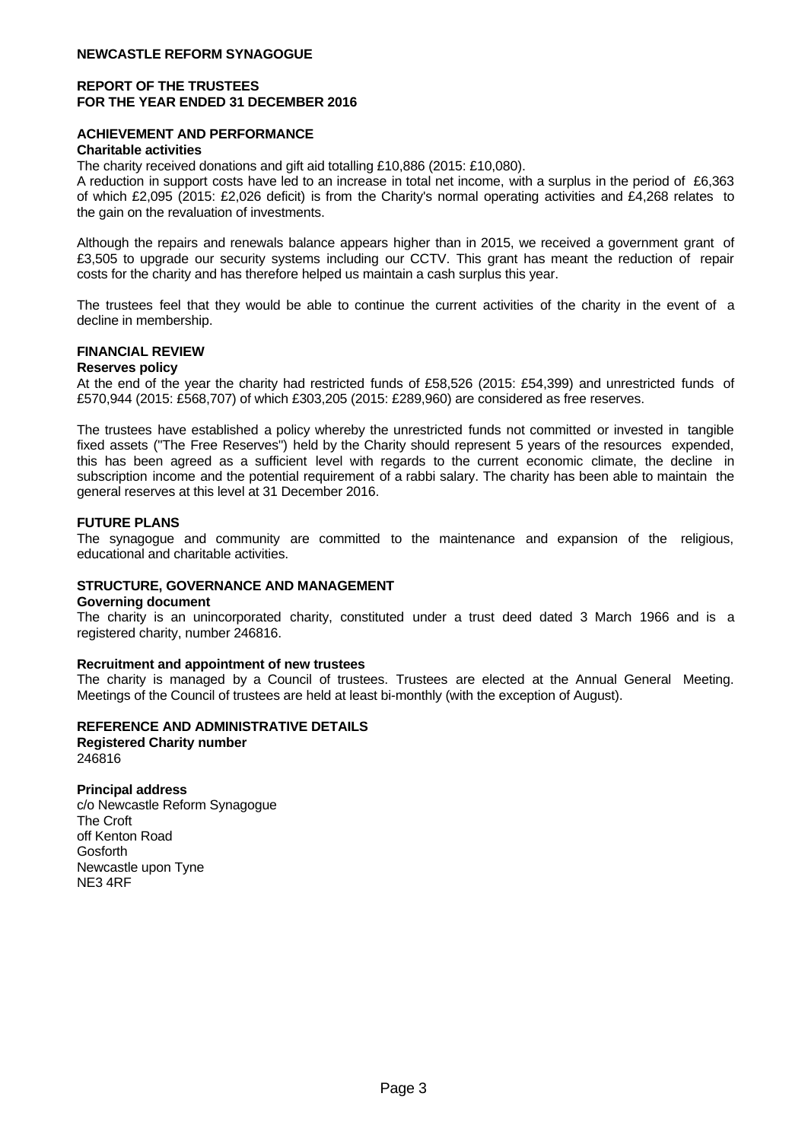## **REPORT OF THE TRUSTEES FOR THE YEAR ENDED 31 DECEMBER 2016**

## **ACHIEVEMENT AND PERFORMANCE**

#### **Charitable activities**

The charity received donations and gift aid totalling £10,886 (2015: £10,080).

A reduction in support costs have led to an increase in total net income, with a surplus in the period of £6,363 of which £2,095 (2015: £2,026 deficit) is from the Charity's normal operating activities and £4,268 relates to the gain on the revaluation of investments.

Although the repairs and renewals balance appears higher than in 2015, we received a government grant of £3,505 to upgrade our security systems including our CCTV.This grant has meant the reduction of repair costs for the charity and has therefore helped us maintain a cash surplus this year.

The trustees feel that they would be able to continue the current activities of the charity in the event of a decline in membership.

# **FINANCIAL REVIEW**

### **Reserves policy**

At the end of the year the charity had restricted funds of £58,526 (2015: £54,399) and unrestricted funds of £570,944 (2015: £568,707) of which £303,205 (2015: £289,960) are considered as free reserves.

The trustees have established a policy whereby the unrestricted funds not committed or invested in tangible fixed assets ("The Free Reserves") held by the Charity should represent 5 years of the resources expended, this has been agreed as a sufficient level with regards to the current economic climate, the decline in subscription income and the potential requirement of a rabbi salary. The charity has been able to maintain the general reserves at this level at 31 December 2016.

#### **FUTURE PLANS**

The synagogue and community are committed to the maintenance and expansion of the religious, educational and charitable activities.

#### **STRUCTURE, GOVERNANCE AND MANAGEMENT**

#### **Governing document**

The charity is an unincorporated charity, constituted under a trust deed dated 3 March 1966 and is a registered charity, number 246816.

#### **Recruitment and appointment of new trustees**

The charity is managed by a Council of trustees. Trustees are elected at the Annual General Meeting. Meetings of the Council of trustees are held at least bi-monthly (with the exception of August).

#### **REFERENCE AND ADMINISTRATIVE DETAILS**

**Registered Charity number** 246816

#### **Principal address**

c/o Newcastle Reform Synagogue The Croft off Kenton Road Gosforth Newcastle upon Tyne NE3 4RF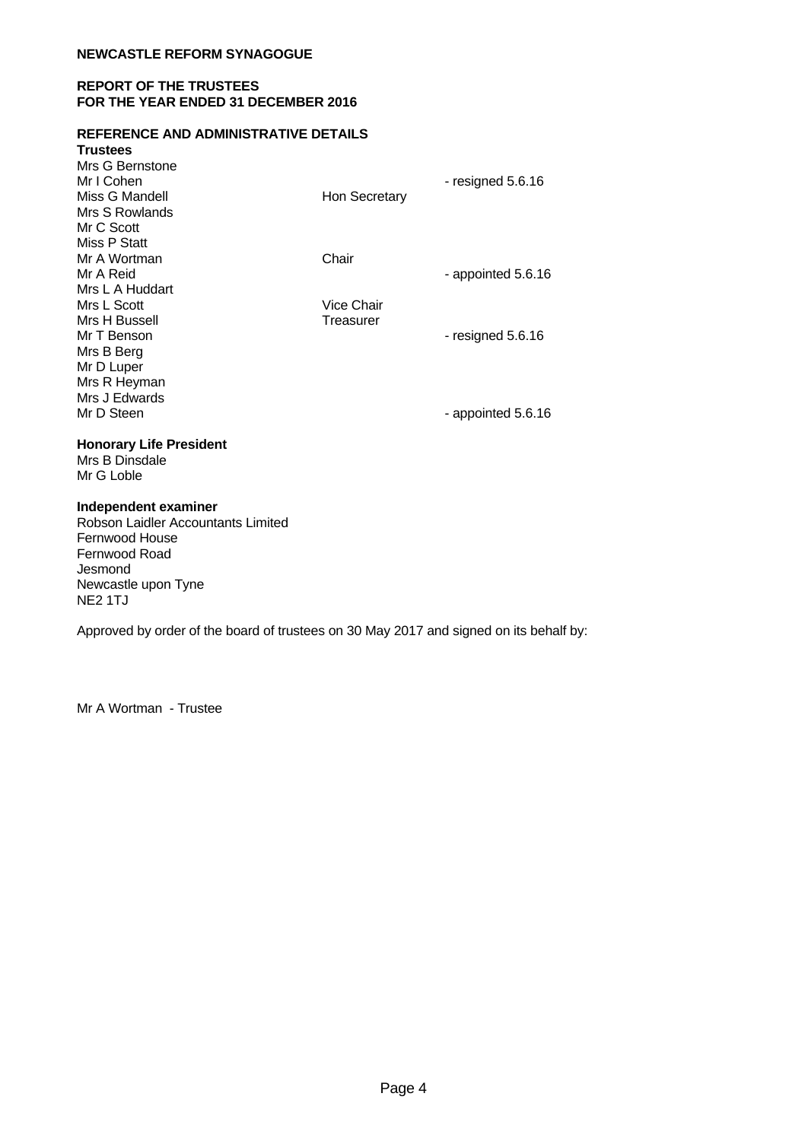## **REPORT OF THE TRUSTEES FOR THE YEAR ENDED 31 DECEMBER 2016**

#### **REFERENCE AND ADMINISTRATIVE DETAILS**

| <b>Trustees</b>                |                   |                     |
|--------------------------------|-------------------|---------------------|
| Mrs G Bernstone                |                   |                     |
| Mr I Cohen                     |                   | - resigned $5.6.16$ |
| Miss G Mandell                 | Hon Secretary     |                     |
| Mrs S Rowlands                 |                   |                     |
| Mr C Scott                     |                   |                     |
| Miss P Statt                   |                   |                     |
| Mr A Wortman<br>Mr A Reid      | Chair             |                     |
| Mrs L A Huddart                |                   | - appointed 5.6.16  |
| Mrs L Scott                    | <b>Vice Chair</b> |                     |
| Mrs H Bussell                  | Treasurer         |                     |
| Mr T Benson                    |                   | - resigned $5.6.16$ |
| Mrs B Berg                     |                   |                     |
| Mr D Luper                     |                   |                     |
| Mrs R Heyman                   |                   |                     |
| Mrs J Edwards                  |                   |                     |
| Mr D Steen                     |                   | - appointed 5.6.16  |
|                                |                   |                     |
| <b>Honorary Life President</b> |                   |                     |
| Mrs B Dinsdale                 |                   |                     |
| Mr G Loble                     |                   |                     |
| Independent examiner           |                   |                     |

Robson Laidler Accountants Limited Fernwood House Fernwood Road Jesmond Newcastle upon Tyne NE2 1TJ

Approved by order of the board of trustees on 30 May 2017 and signed on its behalf by:

Mr A Wortman - Trustee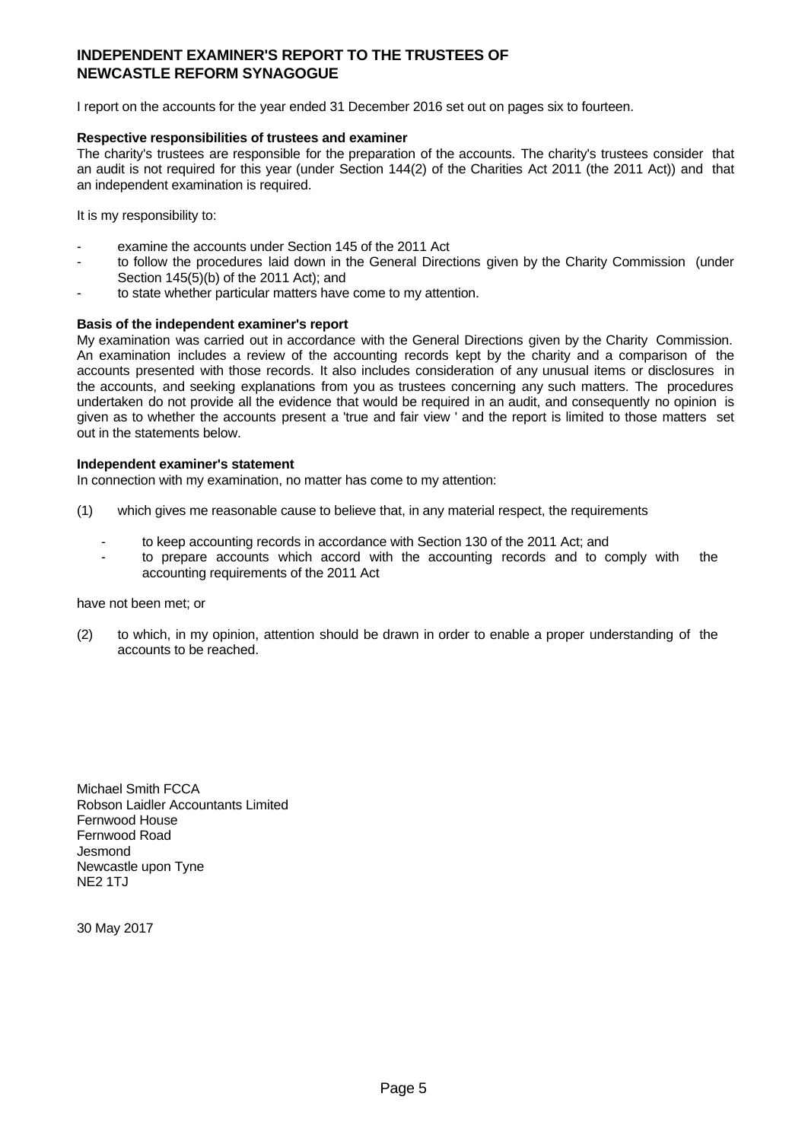# **INDEPENDENT EXAMINER'S REPORT TO THE TRUSTEES OF NEWCASTLE REFORM SYNAGOGUE**

I report on the accounts for the year ended 31 December 2016 set out on pages six to fourteen.

## **Respective responsibilities of trustees and examiner**

The charity's trustees are responsible for the preparation of the accounts. The charity's trustees consider that an audit is not required for this year (under Section 144(2) of the Charities Act 2011 (the 2011 Act)) and that an independent examination is required.

It is my responsibility to:

- examine the accounts under Section 145 of the 2011 Act
- to follow the procedures laid down in the General Directions given by the Charity Commission (under Section 145(5)(b) of the 2011 Act); and
- to state whether particular matters have come to my attention.

#### **Basis of the independent examiner's report**

My examination was carried out in accordance with the General Directions given by the Charity Commission. An examination includes a review of the accounting records kept by the charity and a comparison of the accounts presented with those records. It also includes consideration of any unusual items or disclosures in the accounts, and seeking explanations from you as trustees concerning any such matters. The procedures undertaken do not provide all the evidence that would be required in an audit, and consequently no opinion is given as to whether the accounts present a 'true and fair view ' and the report is limited to those matters set out in the statements below.

#### **Independent examiner's statement**

In connection with my examination, no matter has come to my attention:

- (1) which gives me reasonable cause to believe that, in any material respect, the requirements
	- to keep accounting records in accordance with Section 130 of the 2011 Act; and
	- to prepare accounts which accord with the accounting records and to comply with the accounting requirements of the 2011 Act

have not been met; or

(2) to which, in my opinion, attention should be drawn in order to enable a proper understanding of the accounts to be reached.

Michael Smith FCCA Robson Laidler Accountants Limited Fernwood House Fernwood Road **Jesmond** Newcastle upon Tyne NE2 1TJ

30 May 2017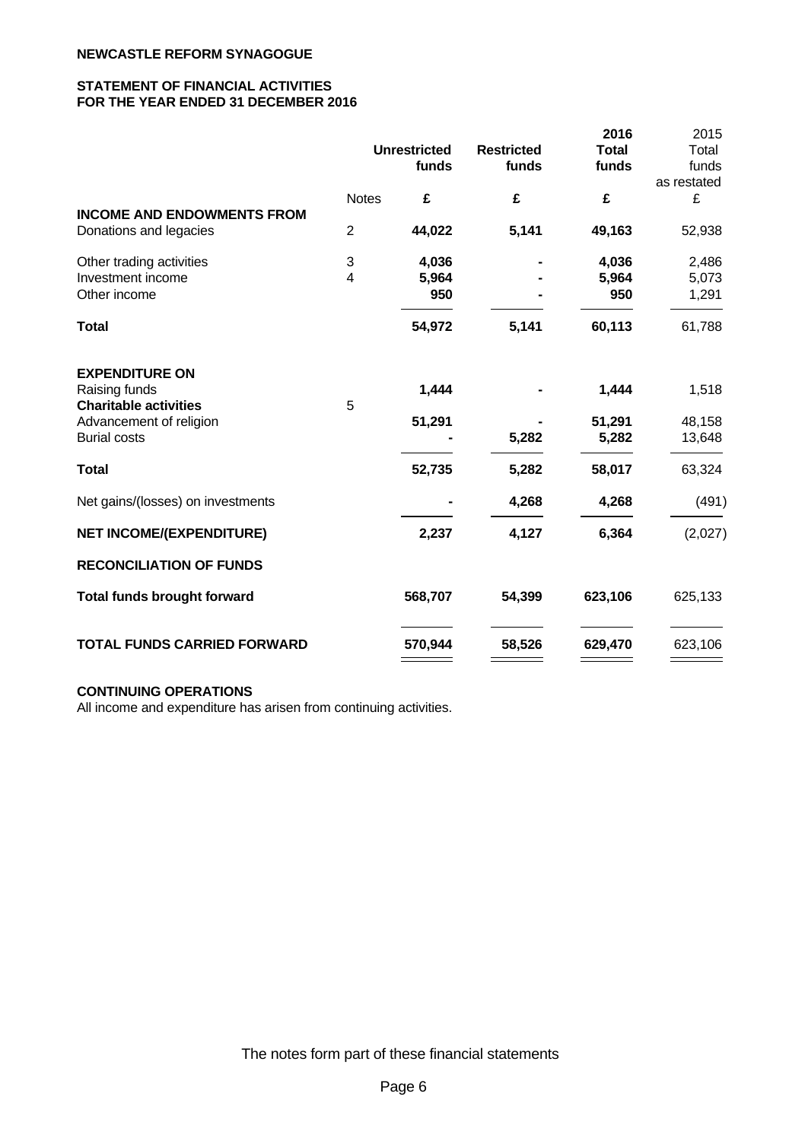## **STATEMENT OF FINANCIAL ACTIVITIES FOR THE YEAR ENDED 31 DECEMBER 2016**

|                                    |                |                     |                   | 2016         | 2015        |
|------------------------------------|----------------|---------------------|-------------------|--------------|-------------|
|                                    |                | <b>Unrestricted</b> | <b>Restricted</b> | <b>Total</b> | Total       |
|                                    |                | funds               | funds             | funds        | funds       |
|                                    |                |                     |                   |              | as restated |
|                                    | <b>Notes</b>   | £                   | £                 | £            | £           |
| <b>INCOME AND ENDOWMENTS FROM</b>  |                |                     |                   |              |             |
| Donations and legacies             | $\overline{2}$ | 44,022              | 5,141             | 49,163       | 52,938      |
| Other trading activities           | 3              | 4,036               |                   | 4,036        | 2,486       |
| Investment income                  | 4              | 5,964               |                   | 5,964        | 5,073       |
| Other income                       |                | 950                 |                   | 950          | 1,291       |
| <b>Total</b>                       |                | 54,972              | 5,141             | 60,113       | 61,788      |
| <b>EXPENDITURE ON</b>              |                |                     |                   |              |             |
| Raising funds                      |                | 1,444               |                   | 1,444        | 1,518       |
| <b>Charitable activities</b>       | 5              |                     |                   |              |             |
| Advancement of religion            |                | 51,291              |                   | 51,291       | 48,158      |
| <b>Burial costs</b>                |                |                     | 5,282             | 5,282        | 13,648      |
| <b>Total</b>                       |                | 52,735              | 5,282             | 58,017       | 63,324      |
| Net gains/(losses) on investments  |                |                     | 4,268             | 4,268        | (491)       |
| <b>NET INCOME/(EXPENDITURE)</b>    |                | 2,237               | 4,127             | 6,364        | (2,027)     |
| <b>RECONCILIATION OF FUNDS</b>     |                |                     |                   |              |             |
| <b>Total funds brought forward</b> |                | 568,707             | 54,399            | 623,106      | 625,133     |
| <b>TOTAL FUNDS CARRIED FORWARD</b> |                | 570,944             | 58,526            | 629,470      | 623,106     |

## **CONTINUING OPERATIONS**

All income and expenditure has arisen from continuing activities.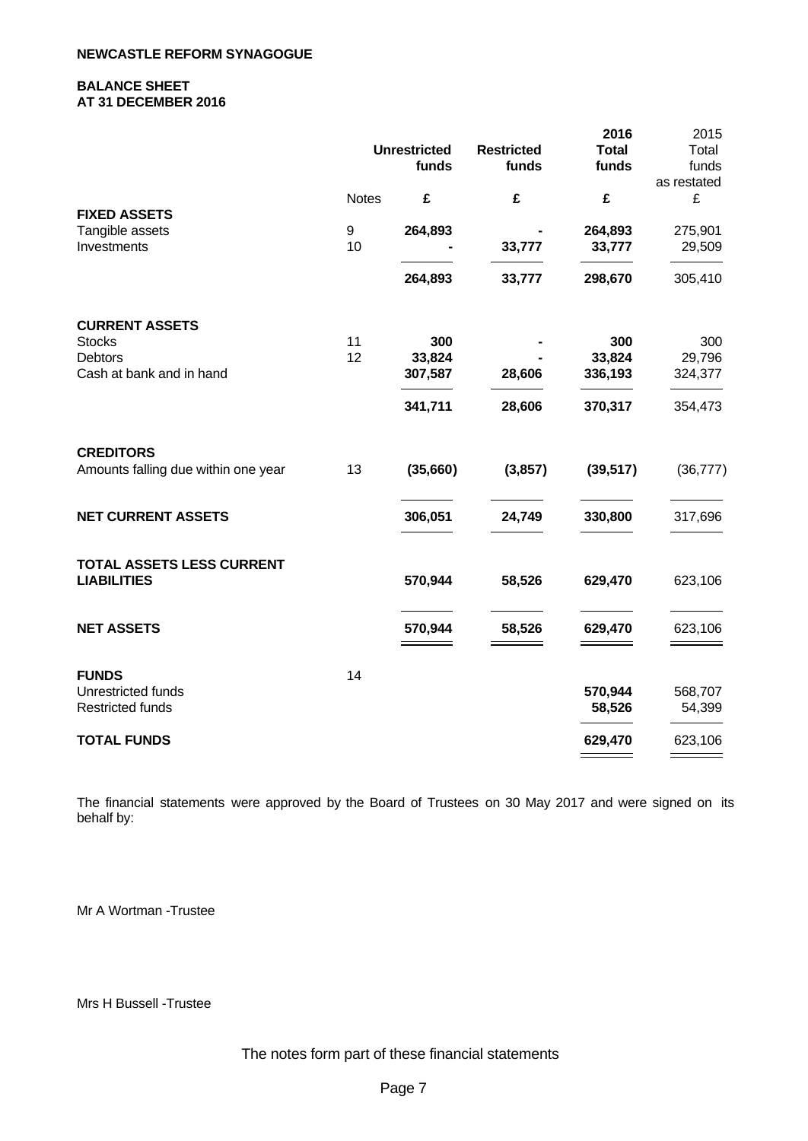## **BALANCE SHEET AT 31 DECEMBER 2016**

|                                     |              |                     |                   | 2016         | 2015        |
|-------------------------------------|--------------|---------------------|-------------------|--------------|-------------|
|                                     |              | <b>Unrestricted</b> | <b>Restricted</b> | <b>Total</b> | Total       |
|                                     |              | funds               | funds             | funds        | funds       |
|                                     |              |                     |                   |              | as restated |
|                                     | <b>Notes</b> | £                   | £                 | £            | £           |
| <b>FIXED ASSETS</b>                 |              |                     |                   |              |             |
| Tangible assets                     | 9            | 264,893             |                   | 264,893      | 275,901     |
| Investments                         | 10           |                     | 33,777            | 33,777       | 29,509      |
|                                     |              | 264,893             | 33,777            | 298,670      | 305,410     |
| <b>CURRENT ASSETS</b>               |              |                     |                   |              |             |
| <b>Stocks</b>                       | 11           | 300                 |                   | 300          | 300         |
| <b>Debtors</b>                      | 12           | 33,824              |                   | 33,824       | 29,796      |
| Cash at bank and in hand            |              | 307,587             | 28,606            | 336,193      | 324,377     |
|                                     |              | 341,711             | 28,606            | 370,317      | 354,473     |
| <b>CREDITORS</b>                    |              |                     |                   |              |             |
| Amounts falling due within one year | 13           | (35,660)            | (3,857)           | (39, 517)    | (36, 777)   |
| <b>NET CURRENT ASSETS</b>           |              | 306,051             | 24,749            | 330,800      | 317,696     |
| TOTAL ASSETS LESS CURRENT           |              |                     |                   |              |             |
| <b>LIABILITIES</b>                  |              | 570,944             | 58,526            | 629,470      | 623,106     |
| <b>NET ASSETS</b>                   |              | 570,944             | 58,526            | 629,470      | 623,106     |
| <b>FUNDS</b>                        | 14           |                     |                   |              |             |
| Unrestricted funds                  |              |                     |                   | 570,944      | 568,707     |
| Restricted funds                    |              |                     |                   | 58,526       | 54,399      |
| <b>TOTAL FUNDS</b>                  |              |                     |                   | 629,470      | 623,106     |
|                                     |              |                     |                   |              |             |
|                                     |              |                     |                   |              |             |

The financial statements were approved by the Board of Trustees on 30 May 2017 and were signed on its behalf by:

Mr A Wortman -Trustee

Mrs H Bussell -Trustee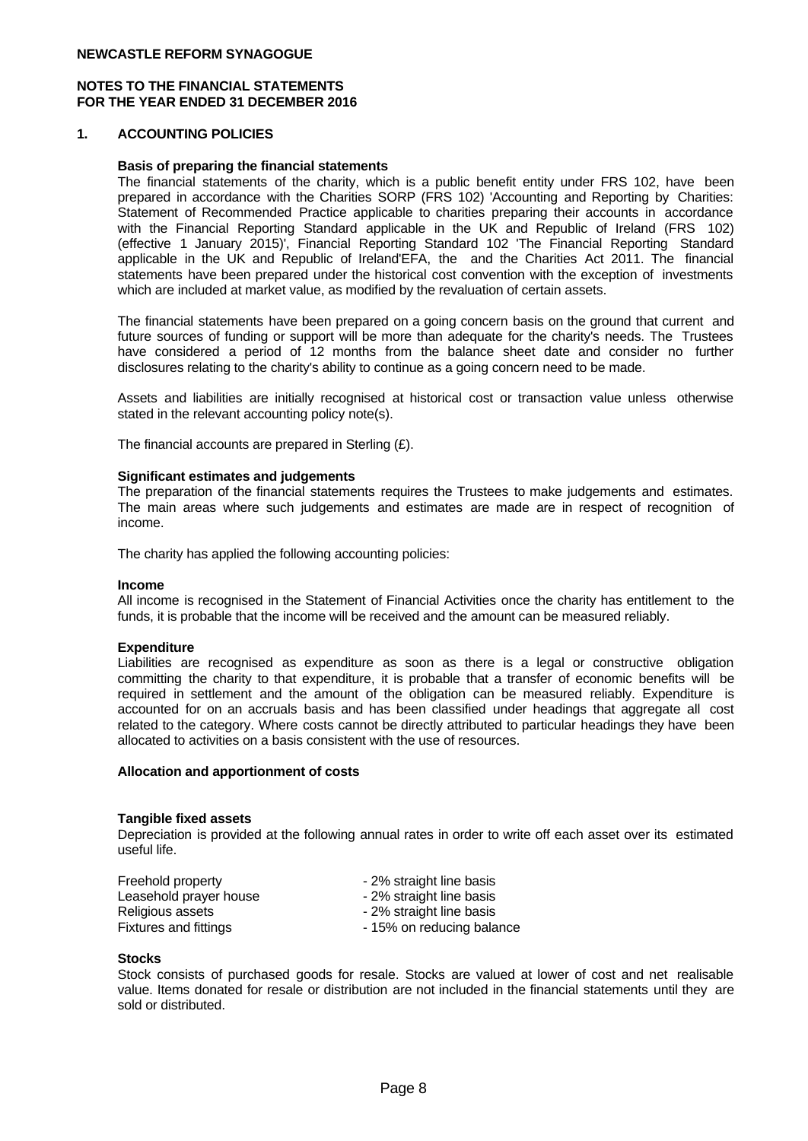#### **NOTES TO THE FINANCIAL STATEMENTS FOR THE YEAR ENDED 31 DECEMBER 2016**

#### **1. ACCOUNTING POLICIES**

#### **Basis of preparing the financial statements**

The financial statements of the charity, which is a public benefit entity under FRS 102, have been prepared in accordance with the Charities SORP (FRS 102) 'Accounting and Reporting by Charities: Statement of Recommended Practice applicable to charities preparing their accounts in accordance with the Financial Reporting Standard applicable in the UK and Republic of Ireland (FRS 102) (effective 1 January 2015)', Financial Reporting Standard 102 'The Financial Reporting Standard applicable in the UK and Republic of Ireland'EFA, the and the Charities Act 2011. The financial statements have been prepared under the historical cost convention with the exception of investments which are included at market value, as modified by the revaluation of certain assets.

The financial statements have been prepared on a going concern basis on the ground that current and future sources of funding or support will be more than adequate for the charity's needs. The Trustees have considered a period of 12 months from the balance sheet date and consider no further disclosures relating to the charity's ability to continue as a going concern need to be made.

Assets and liabilities are initially recognised at historical cost or transaction value unless otherwise stated in the relevant accounting policy note(s).

The financial accounts are prepared in Sterling (£).

#### **Significant estimates and judgements**

The preparation of the financial statements requires the Trustees to make judgements and estimates. The main areas where such judgements and estimates are made are in respect of recognition of income.

The charity has applied the following accounting policies:

#### **Income**

All income is recognised in the Statement of Financial Activities once the charity has entitlement to the funds, it is probable that the income will be received and the amount can be measured reliably.

#### **Expenditure**

Liabilities are recognised as expenditure as soon as there is a legal or constructive obligation committing the charity to that expenditure, it is probable that a transfer of economic benefits will be required in settlement and the amount of the obligation can be measured reliably. Expenditure is accounted for on an accruals basis and has been classified under headings that aggregate all cost related to the category. Where costs cannot be directly attributed to particular headings they have been allocated to activities on a basis consistent with the use of resources.

#### **Allocation and apportionment of costs**

#### **Tangible fixed assets**

Depreciation is provided at the following annual rates in order to write off each asset over its estimated useful life.

| Freehold property      | - 2% straight line basis  |
|------------------------|---------------------------|
| Leasehold prayer house | - 2% straight line basis  |
| Religious assets       | - 2% straight line basis  |
| Fixtures and fittings  | - 15% on reducing balance |

#### **Stocks**

Stock consists of purchased goods for resale. Stocks are valued at lower of cost and net realisable value. Items donated for resale or distribution are not included in the financial statements until they are sold or distributed.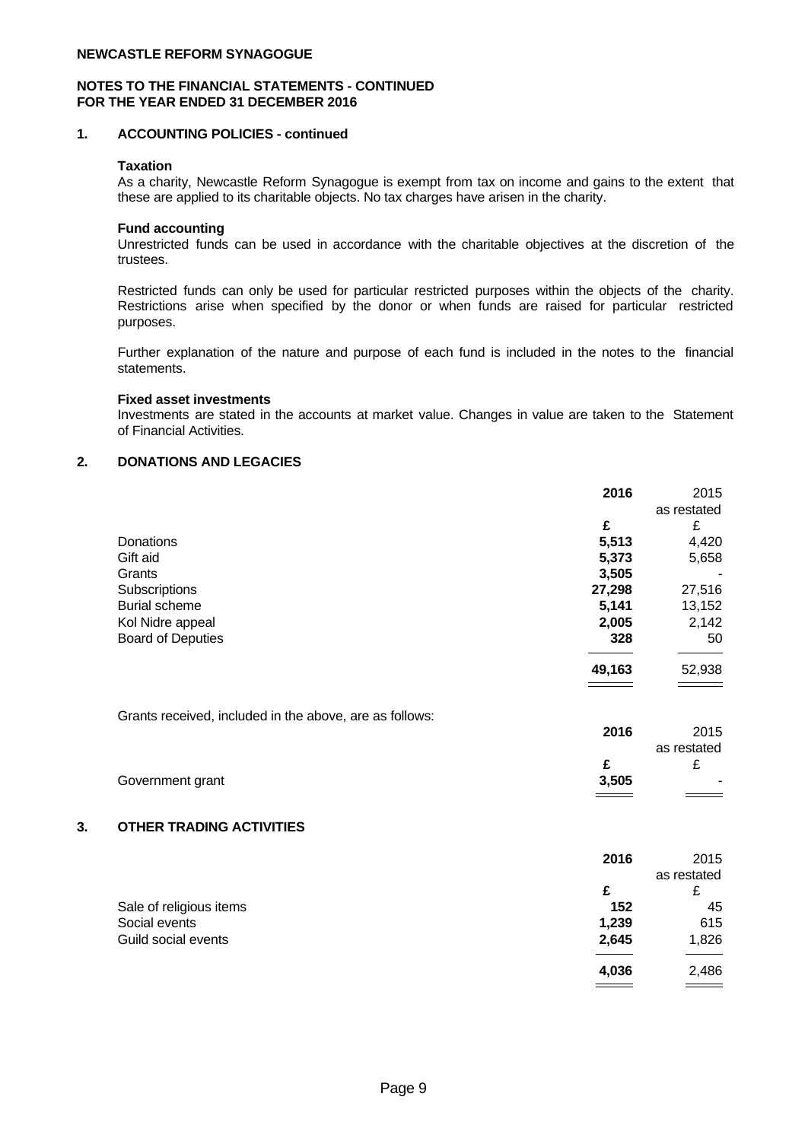#### **NOTES TO THE FINANCIAL STATEMENTS - CONTINUED FOR THE YEAR ENDED 31 DECEMBER 2016**

#### **1. ACCOUNTING POLICIES - continued**

#### **Taxation**

As a charity, Newcastle Reform Synagogue is exempt from tax on income and gains to the extent that these are applied to its charitable objects. No tax charges have arisen in the charity.

### **Fund accounting**

Unrestricted funds can be used in accordance with the charitable objectives at the discretion of the trustees.

Restricted funds can only be used for particular restricted purposes within the objects of the charity. Restrictions arise when specified by the donor or when funds are raised for particular restricted purposes.

Further explanation of the nature and purpose of each fund is included in the notes to the financial statements.

### **Fixed asset investments**

Investments are stated in the accounts at market value. Changes in value are taken to the Statement of Financial Activities.

# **2. DONATIONS AND LEGACIES**

|                                                         | 2016   | 2015        |
|---------------------------------------------------------|--------|-------------|
|                                                         |        | as restated |
|                                                         | £      | £           |
| Donations                                               | 5,513  | 4,420       |
| Gift aid                                                | 5,373  | 5,658       |
| Grants                                                  | 3,505  |             |
| Subscriptions                                           | 27,298 | 27,516      |
| <b>Burial scheme</b>                                    | 5,141  | 13,152      |
| Kol Nidre appeal                                        | 2,005  | 2,142       |
| <b>Board of Deputies</b>                                | 328    | 50          |
|                                                         | 49,163 | 52,938      |
| Grants received, included in the above, are as follows: | 2016   | 2015        |
|                                                         |        | as restated |
|                                                         | £      | £           |
| Government grant                                        | 3,505  |             |
| OTHER TRADING ACTIVITIES                                |        |             |
|                                                         |        |             |
|                                                         | 2016   | 2015        |
|                                                         |        | as restated |
|                                                         | r      | $\sim$      |

|                         | as restateu |                         |  |
|-------------------------|-------------|-------------------------|--|
|                         |             | £<br>~                  |  |
| Sale of religious items | 152         | 45                      |  |
| Social events           | 1,239       | 615                     |  |
| Guild social events     | 2,645       | 1,826                   |  |
|                         |             |                         |  |
|                         | 4,036       | 2,486                   |  |
|                         |             | $\qquad \qquad =\qquad$ |  |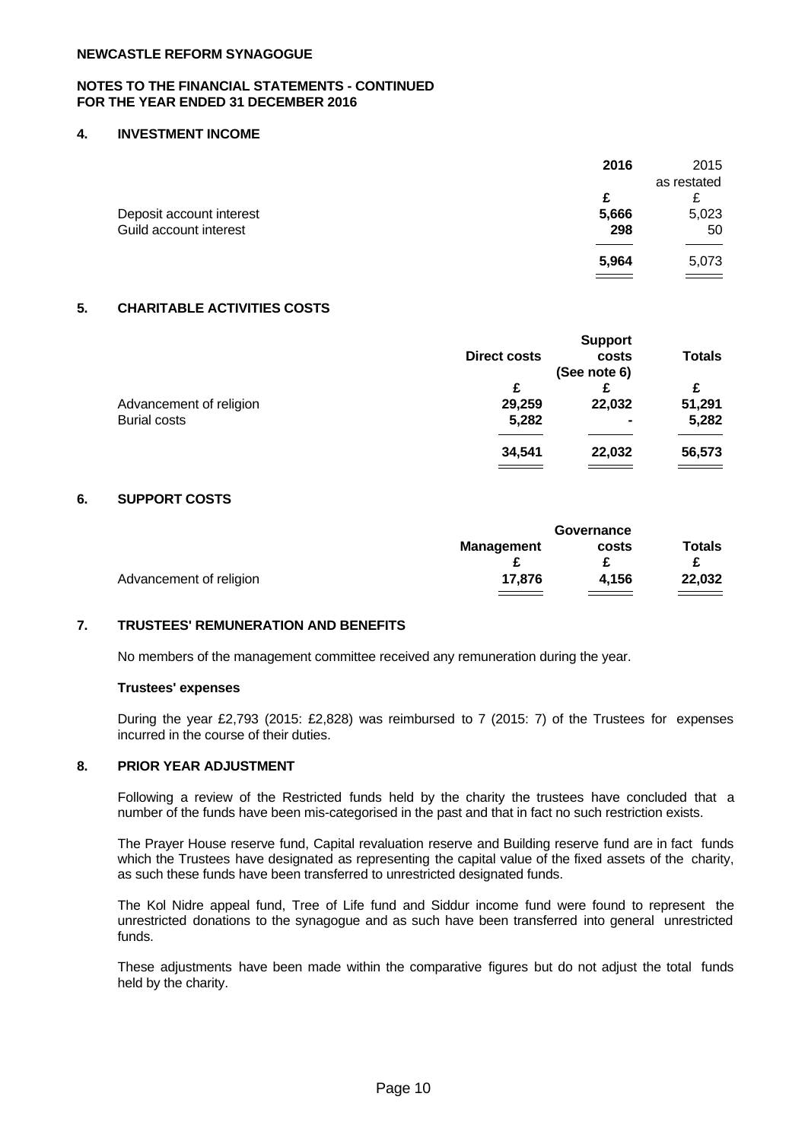#### **NOTES TO THE FINANCIAL STATEMENTS - CONTINUED FOR THE YEAR ENDED 31 DECEMBER 2016**

#### **4. INVESTMENT INCOME**

|                          | 2016                       | 2015        |
|--------------------------|----------------------------|-------------|
|                          |                            | as restated |
|                          | £                          | c<br>∼      |
| Deposit account interest | 5,666                      | 5,023       |
| Guild account interest   | 298                        | 50          |
|                          |                            |             |
|                          | 5,964                      | 5,073       |
|                          | $\equiv$ $\equiv$ $\equiv$ | _____       |

### **5. CHARITABLE ACTIVITIES COSTS**

|                         |                     | <b>Support</b> |               |
|-------------------------|---------------------|----------------|---------------|
|                         | <b>Direct costs</b> | costs          | <b>Totals</b> |
|                         |                     | (See note 6)   |               |
|                         | £                   |                | £             |
| Advancement of religion | 29,259              | 22,032         | 51,291        |
| <b>Burial costs</b>     | 5,282               | $\blacksquare$ | 5,282         |
|                         | 34,541              | 22,032         | 56,573        |
|                         |                     |                |               |

#### **6. SUPPORT COSTS**

| <b>Totals</b><br><b>Management</b><br>costs<br>4,156<br>22,032<br>17,876<br>Advancement of religion | Governance |  |  |
|-----------------------------------------------------------------------------------------------------|------------|--|--|
|                                                                                                     |            |  |  |
|                                                                                                     |            |  |  |
|                                                                                                     |            |  |  |

# **7. TRUSTEES' REMUNERATION AND BENEFITS**

No members of the management committee received any remuneration during the year.

#### **Trustees' expenses**

During the year £2,793 (2015: £2,828) was reimbursed to 7 (2015: 7) of the Trustees for expenses incurred in the course of their duties.

## **8. PRIOR YEAR ADJUSTMENT**

Following a review of the Restricted funds held by the charity the trustees have concluded that a number of the funds have been mis-categorised in the past and that in fact no such restriction exists.

The Prayer House reserve fund, Capital revaluation reserve and Building reserve fund are in fact funds which the Trustees have designated as representing the capital value of the fixed assets of the charity, as such these funds have been transferred to unrestricted designated funds.

The Kol Nidre appeal fund, Tree of Life fund and Siddur income fund were found to represent the unrestricted donations to the synagogue and as such have been transferred into general unrestricted funds.

These adjustments have been made within the comparative figures butdo not adjust the total funds held by the charity.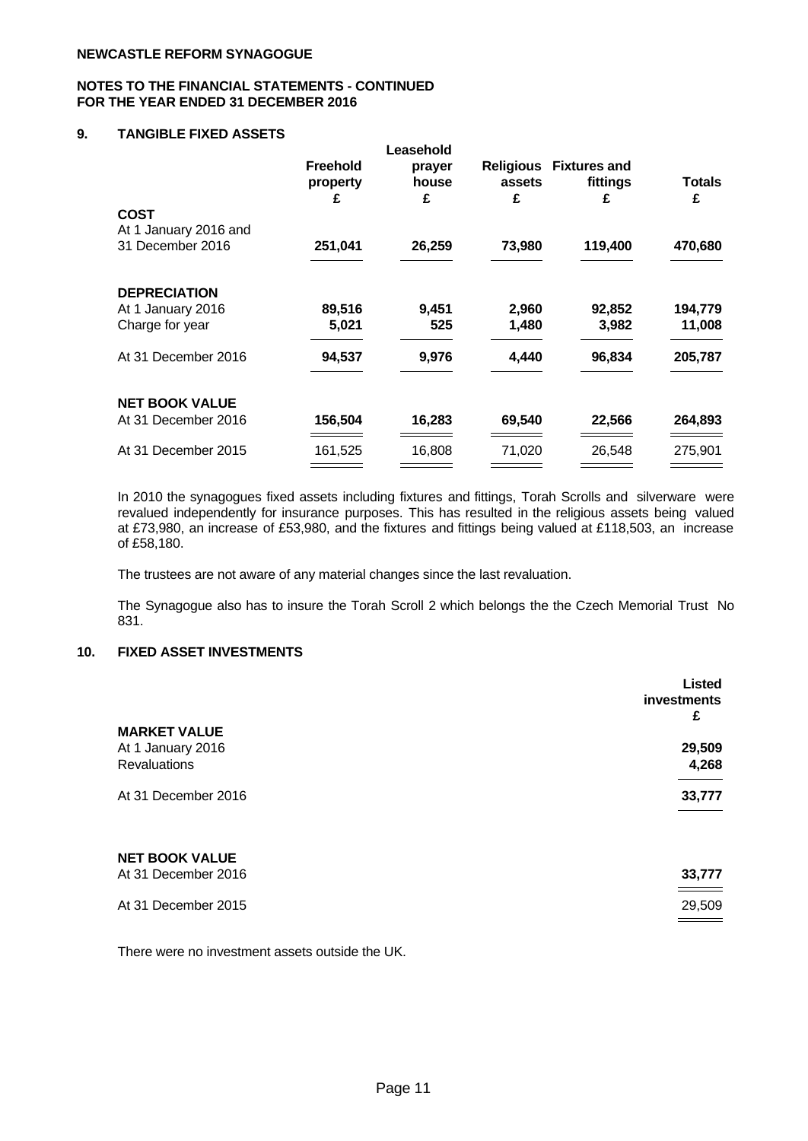### **NOTES TO THE FINANCIAL STATEMENTS - CONTINUED FOR THE YEAR ENDED 31 DECEMBER 2016**

# **9. TANGIBLE FIXED ASSETS**

|                                           |                                  | Leasehold            |                                 |                                      |                    |
|-------------------------------------------|----------------------------------|----------------------|---------------------------------|--------------------------------------|--------------------|
|                                           | <b>Freehold</b><br>property<br>£ | prayer<br>house<br>£ | <b>Religious</b><br>assets<br>£ | <b>Fixtures and</b><br>fittings<br>£ | <b>Totals</b><br>£ |
| <b>COST</b>                               |                                  |                      |                                 |                                      |                    |
| At 1 January 2016 and<br>31 December 2016 | 251,041                          | 26,259               | 73,980                          | 119,400                              | 470,680            |
| <b>DEPRECIATION</b>                       |                                  |                      |                                 |                                      |                    |
| At 1 January 2016                         | 89,516                           | 9,451                | 2,960                           | 92,852                               | 194,779            |
| Charge for year                           | 5,021                            | 525                  | 1,480                           | 3,982                                | 11,008             |
| At 31 December 2016                       | 94,537                           | 9,976                | 4,440                           | 96,834                               | 205,787            |
| <b>NET BOOK VALUE</b>                     |                                  |                      |                                 |                                      |                    |
| At 31 December 2016                       | 156,504                          | 16,283               | 69,540                          | 22,566                               | 264,893            |
| At 31 December 2015                       | 161,525                          | 16,808               | 71,020                          | 26,548                               | 275,901            |
|                                           |                                  |                      |                                 |                                      |                    |

In 2010 the synagogues fixed assets including fixtures and fittings, Torah Scrolls and silverware were revalued independently for insurance purposes. This has resulted in the religious assets being valued at £73,980, an increase of £53,980, and the fixtures and fittings being valued at £118,503, an increase of £58,180.

The trustees are not aware of any material changes since the last revaluation.

The Synagogue also has to insure the Torah Scroll 2 which belongs the the Czech Memorial Trust No 831.

# **10. FIXED ASSET INVESTMENTS**

|                                                          | <b>Listed</b><br>investments<br>£ |
|----------------------------------------------------------|-----------------------------------|
| <b>MARKET VALUE</b><br>At 1 January 2016<br>Revaluations | 29,509<br>4,268                   |
| At 31 December 2016                                      | 33,777                            |
| <b>NET BOOK VALUE</b><br>At 31 December 2016             | 33,777                            |
| At 31 December 2015                                      | 29,509                            |

There were no investment assets outside the UK.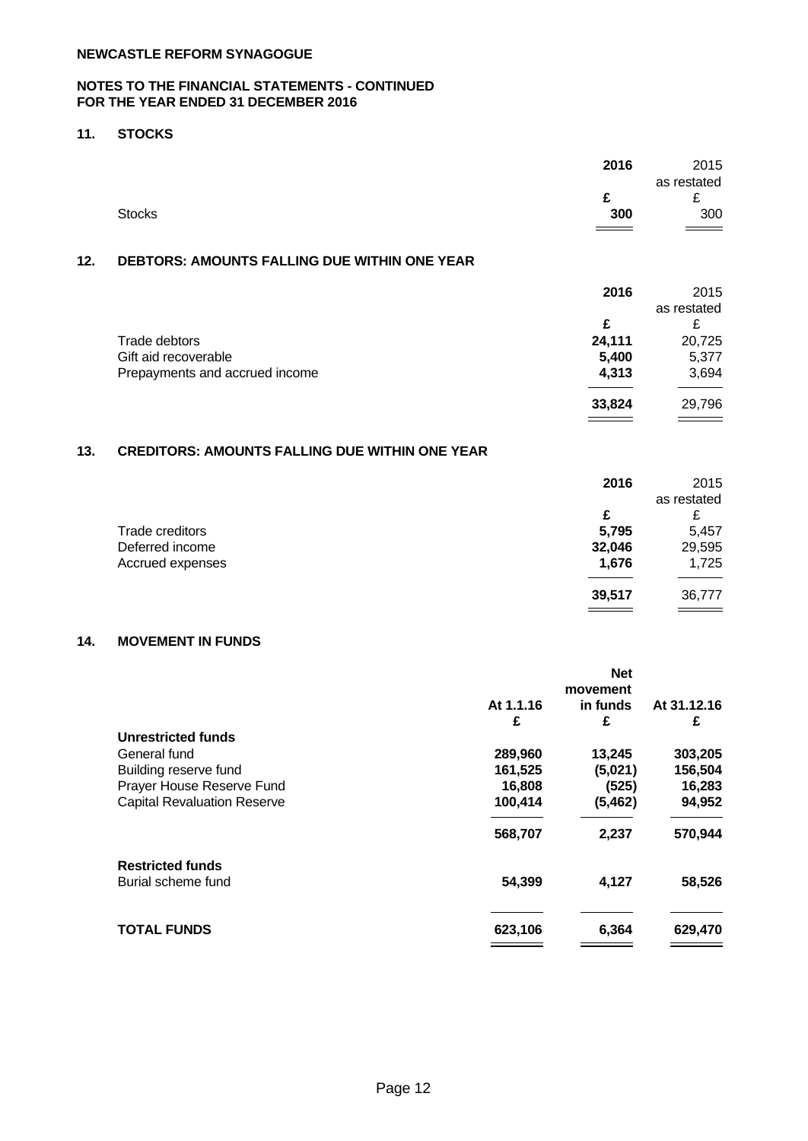## **NOTES TO THE FINANCIAL STATEMENTS - CONTINUED FOR THE YEAR ENDED 31 DECEMBER 2016**

## **11. STOCKS**

|               | 2016   | 2015          |  |
|---------------|--------|---------------|--|
|               |        | as restated   |  |
|               | ∼<br>~ | ~             |  |
| <b>Stocks</b> | 300    | 300           |  |
|               |        | $\sim$ $\sim$ |  |

# **12. DEBTORS: AMOUNTS FALLING DUE WITHIN ONE YEAR**

|                                | 2016   | 2015        |
|--------------------------------|--------|-------------|
|                                |        | as restated |
|                                | £      | ∼           |
| Trade debtors                  | 24,111 | 20,725      |
| Gift aid recoverable           | 5,400  | 5,377       |
| Prepayments and accrued income | 4,313  | 3,694       |
|                                |        |             |
|                                | 33,824 | 29,796      |

# **13. CREDITORS: AMOUNTS FALLING DUE WITHIN ONE YEAR**

|                  | 2016   | 2015        |
|------------------|--------|-------------|
|                  |        | as restated |
|                  | £      | £           |
| Trade creditors  | 5,795  | 5,457       |
| Deferred income  | 32,046 | 29,595      |
| Accrued expenses | 1,676  | 1,725       |
|                  | 39,517 | 36,777      |
|                  |        |             |

# **14. MOVEMENT IN FUNDS**

|                                    |           | <b>Net</b> |             |
|------------------------------------|-----------|------------|-------------|
|                                    | movement  |            |             |
|                                    | At 1.1.16 | in funds   | At 31.12.16 |
|                                    | £         | £          | £           |
| <b>Unrestricted funds</b>          |           |            |             |
| General fund                       | 289,960   | 13,245     | 303,205     |
| Building reserve fund              | 161,525   | (5,021)    | 156,504     |
| Prayer House Reserve Fund          | 16,808    | (525)      | 16,283      |
| <b>Capital Revaluation Reserve</b> | 100,414   | (5, 462)   | 94,952      |
|                                    | 568,707   | 2,237      | 570,944     |
| <b>Restricted funds</b>            |           |            |             |
| Burial scheme fund                 | 54,399    | 4,127      | 58,526      |
| <b>TOTAL FUNDS</b>                 | 623,106   | 6,364      | 629,470     |
|                                    |           |            |             |
|                                    |           |            |             |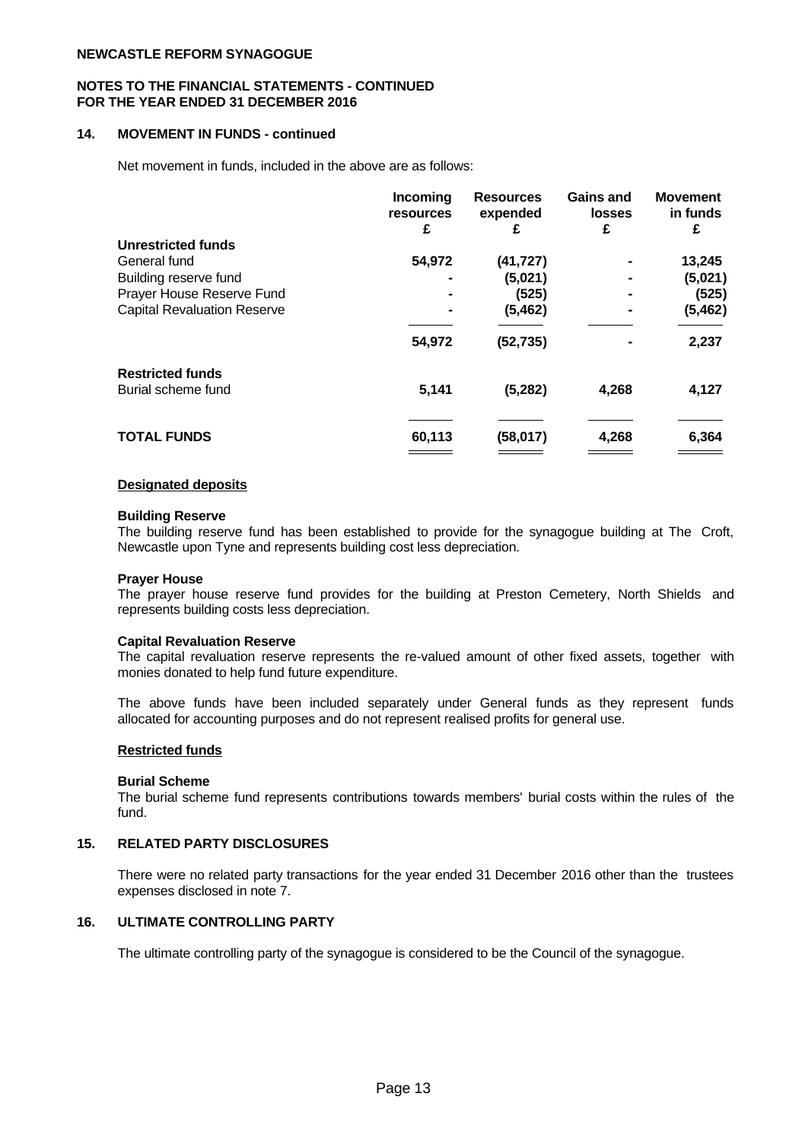#### **NOTES TO THE FINANCIAL STATEMENTS - CONTINUED FOR THE YEAR ENDED 31 DECEMBER 2016**

## **14. MOVEMENT IN FUNDS - continued**

Net movement in funds, included in the above are as follows:

|                                    | <b>Incoming</b><br><b>resources</b><br>£ | <b>Resources</b><br>expended | <b>Gains and</b><br><b>losses</b> | <b>Movement</b><br>in funds<br>£ |  |
|------------------------------------|------------------------------------------|------------------------------|-----------------------------------|----------------------------------|--|
| Unrestricted funds                 |                                          |                              |                                   |                                  |  |
| General fund                       | 54,972                                   | (41, 727)                    |                                   | 13,245                           |  |
| Building reserve fund              |                                          | (5,021)                      |                                   | (5,021)                          |  |
| Prayer House Reserve Fund          | $\blacksquare$                           | (525)                        | $\blacksquare$                    | (525)                            |  |
| <b>Capital Revaluation Reserve</b> |                                          | (5,462)                      |                                   | (5, 462)                         |  |
|                                    | 54,972                                   | (52, 735)                    |                                   | 2,237                            |  |
| <b>Restricted funds</b>            |                                          |                              |                                   |                                  |  |
| Burial scheme fund                 | 5,141                                    | (5,282)                      | 4,268                             | 4,127                            |  |
|                                    |                                          |                              |                                   |                                  |  |
| <b>TOTAL FUNDS</b>                 | 60,113                                   | (58,017)                     | 4,268                             | 6,364                            |  |
|                                    |                                          |                              |                                   |                                  |  |

#### **Designated deposits**

#### **Building Reserve**

The building reserve fund has been established to provide for the synagogue building at The Croft, Newcastle upon Tyne and represents building cost less depreciation.

#### **Prayer House**

The prayer house reserve fund provides for the building at Preston Cemetery, North Shields and represents building costs less depreciation.

#### **Capital Revaluation Reserve**

The capital revaluation reserve represents the re-valued amount of other fixed assets, together with monies donated to help fund future expenditure.

The above funds have been included separately under General funds as they represent funds allocated for accounting purposes and do not represent realised profits for general use.

#### **Restricted funds**

#### **Burial Scheme**

The burial scheme fund represents contributions towards members' burial costs within the rules of the fund.

#### **15. RELATED PARTY DISCLOSURES**

There were no related party transactions for the year ended 31 December 2016 other than the trustees expenses disclosed in note 7.

## **16. ULTIMATE CONTROLLING PARTY**

The ultimate controlling party of the synagogue is considered to be the Council of the synagogue.